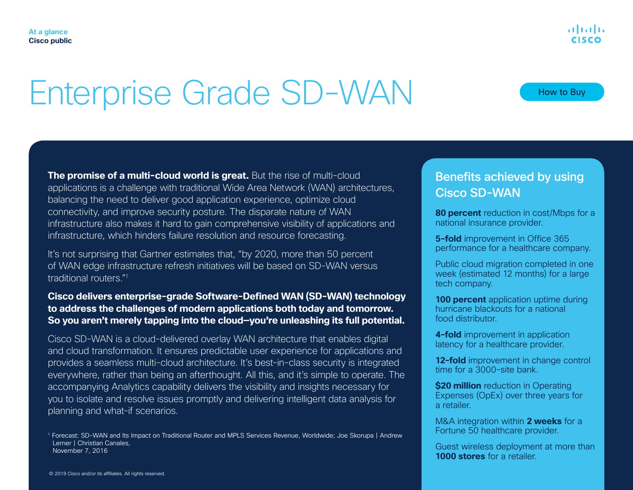# Enterprise Grade SD-WAN

**The promise of a multi-cloud world is great.** But the rise of multi-cloud applications is a challenge with traditional Wide Area Network (WAN) architectures, balancing the need to deliver good application experience, optimize cloud connectivity, and improve security posture. The disparate nature of WAN infrastructure also makes it hard to gain comprehensive visibility of applications and infrastructure, which hinders failure resolution and resource forecasting.

It's not surprising that Gartner estimates that, "by 2020, more than 50 percent of WAN edge infrastructure refresh initiatives will be based on SD-WAN versus traditional routers."1

### **Cisco delivers enterprise-grade Software-Defined WAN (SD-WAN) technology to address the challenges of modern applications both today and tomorrow. So you aren't merely tapping into the cloud—you're unleashing its full potential.**

Cisco SD-WAN is a cloud-delivered overlay WAN architecture that enables digital and cloud transformation. It ensures predictable user experience for applications and provides a seamless multi-cloud architecture. It's best-in-class security is integrated everywhere, rather than being an afterthought. All this, and it's simple to operate. The accompanying Analytics capability delivers the visibility and insights necessary for you to isolate and resolve issues promptly and delivering intelligent data analysis for planning and what-if scenarios.

1 Forecast: SD-WAN and Its Impact on Traditional Router and MPLS Services Revenue, Worldwide; Joe Skorupa | Andrew Lerner | Christian Canales, November 7, 2016

## Benefits achieved by using Cisco SD-WAN

**80 percent** reduction in cost/Mbps for a national insurance provider.

**5-fold** improvement in Office 365 performance for a healthcare company.

Public cloud migration completed in one week (estimated 12 months) for a large tech company.

**100 percent** application uptime during hurricane blackouts for a national food distributor.

**4-fold** improvement in application latency for a healthcare provider.

**12-fold** improvement in change control time for a 3000-site bank.

**\$20 million** reduction in Operating Expenses (OpEx) over three years for a retailer.

M&A integration within **2 weeks** for a Fortune 50 healthcare provider.

Guest wireless deployment at more than **1000 stores** for a retailer.

How to Buy